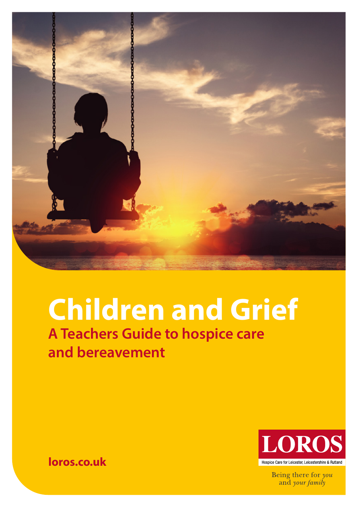

# **Children and Grief A Teachers Guide to hospice care and bereavement**



Being there for you and your family

**[loros.co.uk](http://loros.co.uk/fundraising)**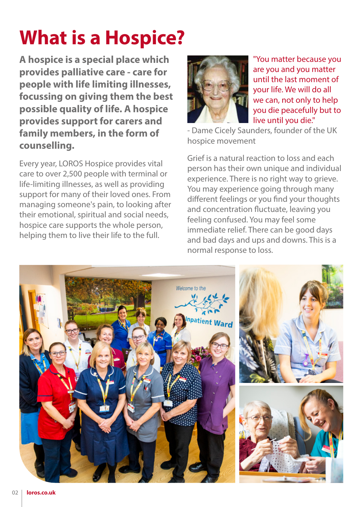# **What is a Hospice?**

**A hospice is a special place which provides palliative care - care for people with life limiting illnesses, focussing on giving them the best possible quality of life. A hospice provides support for carers and family members, in the form of counselling.** 

Every year, LOROS Hospice provides vital care to over 2,500 people with terminal or life-limiting illnesses, as well as providing support for many of their loved ones. From managing someone's pain, to looking after their emotional, spiritual and social needs, hospice care supports the whole person, helping them to live their life to the full.



"You matter because you are you and you matter until the last moment of your life. We will do all we can, not only to help you die peacefully but to live until you die."

- Dame Cicely Saunders, founder of the UK hospice movement

Grief is a natural reaction to loss and each person has their own unique and individual experience. There is no right way to grieve. You may experience going through many different feelings or you find your thoughts and concentration fluctuate, leaving you feeling confused. You may feel some immediate relief. There can be good days and bad days and ups and downs. This is a normal response to loss.

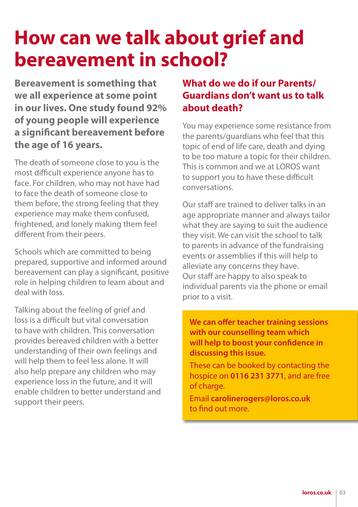# **How can we talk about grief and bereavement in school?**

**Bereavement is something that we all experience at some point in our lives. One study found 92% of young people will experience a significant bereavement before the age of 16 years.** 

The death of someone close to you is the most difficult experience anyone has to face. For children, who may not have had to face the death of someone close to them before, the strong feeling that they experience may make them confused, frightened, and lonely making them feel different from their peers.

Schools which are committed to being prepared, supportive and informed around bereavement can play a significant, positive role in helping children to learn about and deal with loss.

Talking about the feeling of grief and loss is a difficult but vital conversation to have with children. This conversation provides bereaved children with a better understanding of their own feelings and will help them to feel less alone. It will also help prepare any children who may experience loss in the future, and it will enable children to better understand and support their peers.

#### **What do we do if our Parents/ Guardians don't want us to talk about death?**

You may experience some resistance from the parents/guardians who feel that this topic of end of life care, death and dying to be too mature a topic for their children. This is common and we at LOROS want to support you to have these difficult conversations.

Our staff are trained to deliver talks in an age appropriate manner and always tailor what they are saying to suit the audience they visit. We can visit the school to talk to parents in advance of the fundraising events or assemblies if this will help to alleviate any concerns they have. Our staff are happy to also speak to individual parents via the phone or email prior to a visit.

**We can offer teacher training sessions with our counselling team which will help to boost your confidence in discussing this issue.** 

These can be booked by contacting the hospice on **0116 231 3771**, and are free of charge.

Email **[carolinerogers@loros.co.uk](mailto:carolinerogers@loros.co.uk)** to find out more.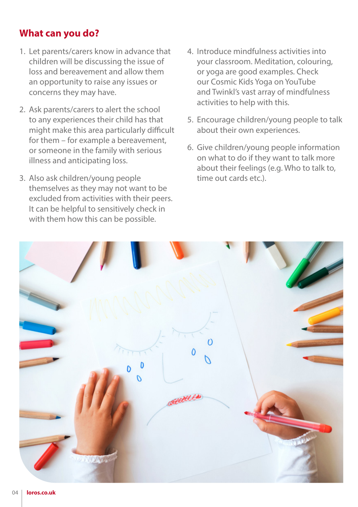#### **What can you do?**

- 1. Let parents/carers know in advance that children will be discussing the issue of loss and bereavement and allow them an opportunity to raise any issues or concerns they may have.
- 2. Ask parents/carers to alert the school to any experiences their child has that might make this area particularly difficult for them – for example a bereavement, or someone in the family with serious illness and anticipating loss.
- 3. Also ask children/young people themselves as they may not want to be excluded from activities with their peers. It can be helpful to sensitively check in with them how this can be possible.
- 4. Introduce mindfulness activities into your classroom. Meditation, colouring, or yoga are good examples. Check our Cosmic Kids Yoga on YouTube and Twinkl's vast array of mindfulness activities to help with this.
- 5. Encourage children/young people to talk about their own experiences.
- 6. Give children/young people information on what to do if they want to talk more about their feelings (e.g. Who to talk to, time out cards etc.)

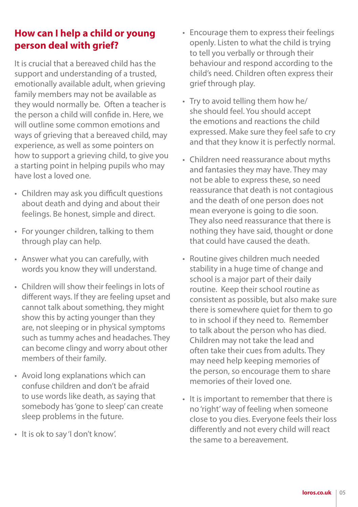# **How can I help a child or young person deal with grief?**

It is crucial that a bereaved child has the support and understanding of a trusted, emotionally available adult, when grieving family members may not be available as they would normally be. Often a teacher is the person a child will confide in. Here, we will outline some common emotions and ways of grieving that a bereaved child, may experience, as well as some pointers on how to support a grieving child, to give you a starting point in helping pupils who may have lost a loved one.

- Children may ask you difficult questions about death and dying and about their feelings. Be honest, simple and direct.
- For younger children, talking to them through play can help.
- Answer what you can carefully, with words you know they will understand.
- Children will show their feelings in lots of different ways. If they are feeling upset and cannot talk about something, they might show this by acting younger than they are, not sleeping or in physical symptoms such as tummy aches and headaches. They can become clingy and worry about other members of their family.
- Avoid long explanations which can confuse children and don't be afraid to use words like death, as saying that somebody has 'gone to sleep' can create sleep problems in the future.
- It is ok to say 'I don't know'.
- Encourage them to express their feelings openly. Listen to what the child is trying to tell you verbally or through their behaviour and respond according to the child's need. Children often express their grief through play.
- Try to avoid telling them how he/ she should feel. You should accept the emotions and reactions the child expressed. Make sure they feel safe to cry and that they know it is perfectly normal.
- Children need reassurance about myths and fantasies they may have. They may not be able to express these, so need reassurance that death is not contagious and the death of one person does not mean everyone is going to die soon. They also need reassurance that there is nothing they have said, thought or done that could have caused the death.
- Routine gives children much needed stability in a huge time of change and school is a major part of their daily routine. Keep their school routine as consistent as possible, but also make sure there is somewhere quiet for them to go to in school if they need to. Remember to talk about the person who has died. Children may not take the lead and often take their cues from adults. They may need help keeping memories of the person, so encourage them to share memories of their loved one.
- It is important to remember that there is no 'right' way of feeling when someone close to you dies. Everyone feels their loss differently and not every child will react the same to a bereavement.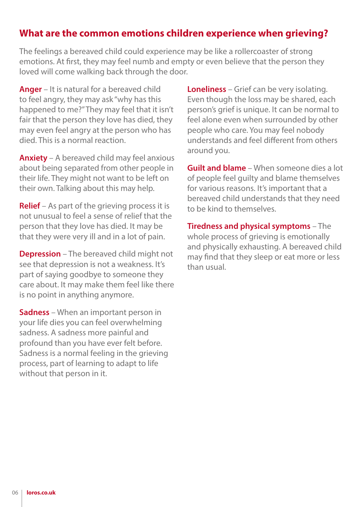#### **What are the common emotions children experience when grieving?**

The feelings a bereaved child could experience may be like a rollercoaster of strong emotions. At first, they may feel numb and empty or even believe that the person they loved will come walking back through the door.

**Anger** – It is natural for a bereaved child to feel angry, they may ask "why has this happened to me?" They may feel that it isn't fair that the person they love has died, they may even feel angry at the person who has died. This is a normal reaction.

**Anxiety** – A bereaved child may feel anxious about being separated from other people in their life. They might not want to be left on their own. Talking about this may help.

**Relief** – As part of the grieving process it is not unusual to feel a sense of relief that the person that they love has died. It may be that they were very ill and in a lot of pain.

**Depression** – The bereaved child might not see that depression is not a weakness. It's part of saying goodbye to someone they care about. It may make them feel like there is no point in anything anymore.

**Sadness** – When an important person in your life dies you can feel overwhelming sadness. A sadness more painful and profound than you have ever felt before. Sadness is a normal feeling in the grieving process, part of learning to adapt to life without that person in it.

**Loneliness** – Grief can be very isolating. Even though the loss may be shared, each person's grief is unique. It can be normal to feel alone even when surrounded by other people who care. You may feel nobody understands and feel different from others around you.

**Guilt and blame** – When someone dies a lot of people feel guilty and blame themselves for various reasons. It's important that a bereaved child understands that they need to be kind to themselves.

**Tiredness and physical symptoms** – The whole process of grieving is emotionally and physically exhausting. A bereaved child may find that they sleep or eat more or less than usual.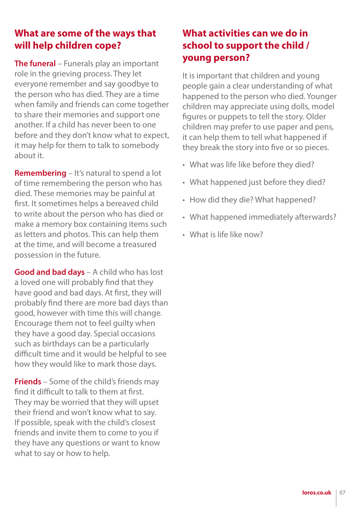# **What are some of the ways that will help children cope?**

**The funeral** – Funerals play an important role in the grieving process. They let everyone remember and say goodbye to the person who has died. They are a time when family and friends can come together to share their memories and support one another. If a child has never been to one before and they don't know what to expect, it may help for them to talk to somebody about it.

**Remembering** – It's natural to spend a lot of time remembering the person who has died. These memories may be painful at first. It sometimes helps a bereaved child to write about the person who has died or make a memory box containing items such as letters and photos. This can help them at the time, and will become a treasured possession in the future.

**Good and bad days** – A child who has lost a loved one will probably find that they have good and bad days. At first, they will probably find there are more bad days than good, however with time this will change. Encourage them not to feel guilty when they have a good day. Special occasions such as birthdays can be a particularly difficult time and it would be helpful to see how they would like to mark those days.

**Friends** – Some of the child's friends may find it difficult to talk to them at first. They may be worried that they will upset their friend and won't know what to say. If possible, speak with the child's closest friends and invite them to come to you if they have any questions or want to know what to say or how to help.

### **What activities can we do in school to support the child / young person?**

It is important that children and young people gain a clear understanding of what happened to the person who died. Younger children may appreciate using dolls, model figures or puppets to tell the story. Older children may prefer to use paper and pens, it can help them to tell what happened if they break the story into five or so pieces.

- What was life like before they died?
- What happened just before they died?
- How did they die? What happened?
- What happened immediately afterwards?
- What is life like now?